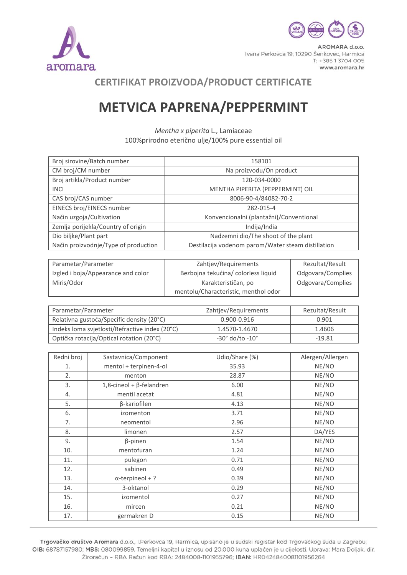



AROMARA d.o.o. Ivana Perkovca 19, 10290 Šenkovec, Harmica T: +385 1 3704 005 www.aromara.hr

## **CERTIFIKAT PROIZVODA/PRODUCT CERTIFICATE**

## **METVICA PAPRENA/PEPPERMINT**

*Mentha x piperita* L*.,* Lamiaceae 100%prirodno eterično ulje/100% pure essential oil

| Broj sirovine/Batch number           | 158101                                             |
|--------------------------------------|----------------------------------------------------|
| CM broj/CM number                    | Na proizvodu/On product                            |
| Broj artikla/Product number          | 120-034-0000                                       |
| <b>INCI</b>                          | MENTHA PIPERITA (PEPPERMINT) OIL                   |
| CAS broj/CAS number                  | 8006-90-4/84082-70-2                               |
| EINECS broj/EINECS number            | 282-015-4                                          |
| Način uzgoja/Cultivation             | Konvencionalni (plantažni)/Conventional            |
| Zemlja porijekla/Country of origin   | Indija/India                                       |
| Dio biljke/Plant part                | Nadzemni dio/The shoot of the plant                |
| Način proizvodnje/Type of production | Destilacija vodenom parom/Water steam distillation |

| Parametar/Parameter                | Zahtjev/Requirements                 | Rezultat/Result   |
|------------------------------------|--------------------------------------|-------------------|
| Izgled i boja/Appearance and color | Bezbojna tekućina/colorless liquid   | Odgovara/Complies |
| Miris/Odor                         | Karakterističan, po                  | Odgovara/Complies |
|                                    | mentolu/Characteristic, menthol odor |                   |

| Parametar/Parameter                            | Zahtjev/Requirements          | Rezultat/Result |
|------------------------------------------------|-------------------------------|-----------------|
| Relativna gustoća/Specific density (20°C)      | $0.900 - 0.916$               | 0.901           |
| Indeks loma svjetlosti/Refractive index (20°C) | 1.4570-1.4670                 | 1.4606          |
| Optička rotacija/Optical rotation (20°C)       | $-30^\circ$ do/to $-10^\circ$ | $-19.81$        |

| Redni broj | Sastavnica/Component               | Udio/Share (%) | Alergen/Allergen |
|------------|------------------------------------|----------------|------------------|
| 1.         | mentol + terpinen-4-ol             | 35.93          | NE/NO            |
| 2.         | menton                             | 28.87          | NE/NO            |
| 3.         | $1,8$ -cineol + $\beta$ -felandren | 6.00           | NE/NO            |
| 4.         | mentil acetat                      | 4.81           | NE/NO            |
| 5.         | β-kariofilen                       | 4.13           | NE/NO            |
| 6.         | izomenton                          | 3.71           | NE/NO            |
| 7.         | neomentol                          | 2.96           | NE/NO            |
| 8.         | limonen                            | 2.57           | DA/YES           |
| 9.         | $\beta$ -pinen                     | 1.54           | NE/NO            |
| 10.        | mentofuran                         | 1.24           | NE/NO            |
| 11.        | pulegon                            | 0.71           | NE/NO            |
| 12.        | sabinen                            | 0.49           | NE/NO            |
| 13.        | $\alpha$ -terpineol + ?            | 0.39           | NE/NO            |
| 14.        | 3-oktanol                          | 0.29           | NE/NO            |
| 15.        | izomentol                          | 0.27           | NE/NO            |
| 16.        | mircen                             | 0.21           | NE/NO            |
| 17.        | germakren D                        | 0.15           | NE/NO            |

Trgovačko društvo Aromara d.o.o., I.Perkovca 19, Harmica, upisano je u sudski registar kod Trgovačkog suda u Zagrebu, OIB: 68787157980; MBS: 080099859. Temeljni kapital u iznosu od 20.000 kuna uplaćen je u cijelosti. Uprava: Mara Doljak, dir. Žiroračun - RBA Račun kod RBA: 2484008-1101955796; IBAN: HR0424840081101956264